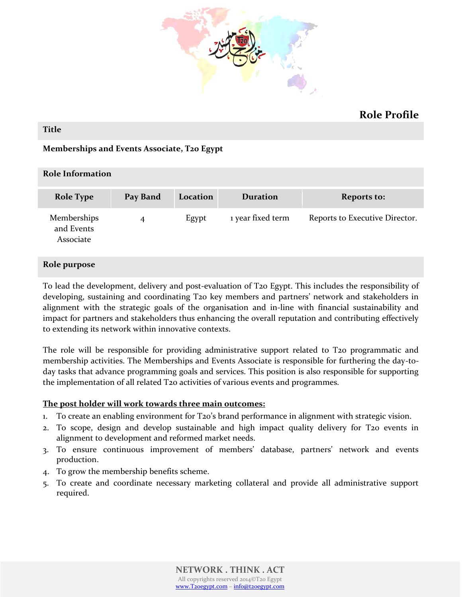

# **Role Profile**

#### **Title**

# **Memberships and Events Associate, T20 Egypt**

| <b>Role Information</b>                |          |          |                   |                                |
|----------------------------------------|----------|----------|-------------------|--------------------------------|
| <b>Role Type</b>                       | Pay Band | Location | <b>Duration</b>   | <b>Reports to:</b>             |
| Memberships<br>and Events<br>Associate | 4        | Egypt    | 1 year fixed term | Reports to Executive Director. |

### **Role purpose**

To lead the development, delivery and post-evaluation of T20 Egypt. This includes the responsibility of developing, sustaining and coordinating T20 key members and partners' network and stakeholders in alignment with the strategic goals of the organisation and in-line with financial sustainability and impact for partners and stakeholders thus enhancing the overall reputation and contributing effectively to extending its network within innovative contexts.

The role will be responsible for providing administrative support related to T20 programmatic and membership activities. The Memberships and Events Associate is responsible for furthering the day-today tasks that advance programming goals and services. This position is also responsible for supporting the implementation of all related T20 activities of various events and programmes.

### **The post holder will work towards three main outcomes:**

- 1. To create an enabling environment for T20's brand performance in alignment with strategic vision.
- 2. To scope, design and develop sustainable and high impact quality delivery for T20 events in alignment to development and reformed market needs.
- 3. To ensure continuous improvement of members' database, partners' network and events production.
- 4. To grow the membership benefits scheme.
- 5. To create and coordinate necessary marketing collateral and provide all administrative support required.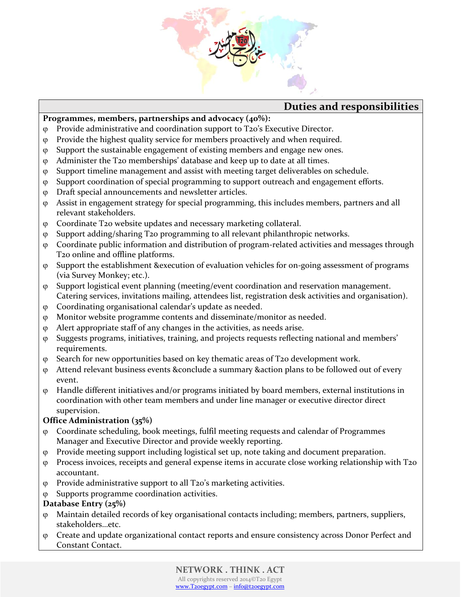

# **Duties and responsibilities**

# **Programmes, members, partnerships and advocacy (40%):**

- Provide administrative and coordination support to T20's Executive Director.
- Provide the highest quality service for members proactively and when required.
- Support the sustainable engagement of existing members and engage new ones.
- Administer the T20 memberships' database and keep up to date at all times.
- Support timeline management and assist with meeting target deliverables on schedule.
- Support coordination of special programming to support outreach and engagement efforts.
- Draft special announcements and newsletter articles.
- Assist in engagement strategy for special programming, this includes members, partners and all relevant stakeholders.
- Coordinate T20 website updates and necessary marketing collateral.
- Support adding/sharing T20 programming to all relevant philanthropic networks.
- Coordinate public information and distribution of program-related activities and messages through T20 online and offline platforms.
- Support the establishment &execution of evaluation vehicles for on-going assessment of programs (via Survey Monkey; etc.).
- Support logistical event planning (meeting/event coordination and reservation management. Catering services, invitations mailing, attendees list, registration desk activities and organisation).
- Coordinating organisational calendar's update as needed.
- Monitor website programme contents and disseminate/monitor as needed.
- Alert appropriate staff of any changes in the activities, as needs arise.
- Suggests programs, initiatives, training, and projects requests reflecting national and members' requirements.
- $\varphi$  Search for new opportunities based on key thematic areas of T20 development work.
- Attend relevant business events &conclude a summary &action plans to be followed out of every event.
- Handle different initiatives and/or programs initiated by board members, external institutions in coordination with other team members and under line manager or executive director direct supervision.

# **Office Administration (35%)**

- Coordinate scheduling, book meetings, fulfil meeting requests and calendar of Programmes Manager and Executive Director and provide weekly reporting.
- Provide meeting support including logistical set up, note taking and document preparation.
- Process invoices, receipts and general expense items in accurate close working relationship with T20 accountant.
- Provide administrative support to all T20's marketing activities.
- Supports programme coordination activities.

# **Database Entry (25%)**

- Maintain detailed records of key organisational contacts including; members, partners, suppliers, stakeholders…etc.
- Create and update organizational contact reports and ensure consistency across Donor Perfect and Constant Contact.

# **NETWORK . THINK . ACT**

All copyrights reserved 2014©T20 Egypt [www.T20egypt.com](http://www.t20egypt.com/) – [info@t20egypt.com](mailto:info@t20egypt.com)